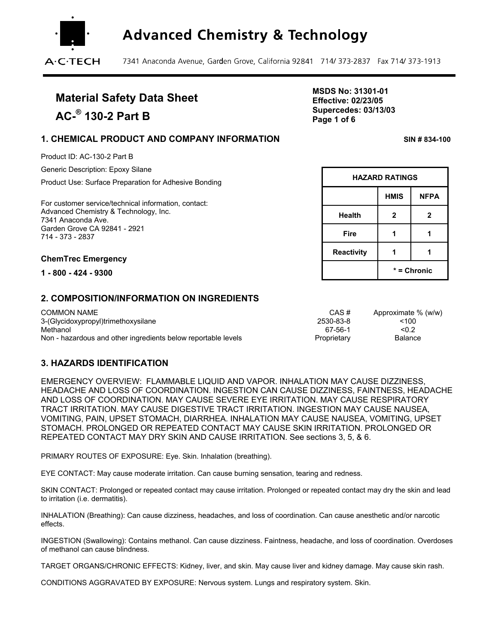

# **Material Safety Data Sheet**

AC-<sup>®</sup> 130-2 Part B Page 1 of 6 **Page 1 of 6** 

**MSDS No: 31301-01 Effective: 02/23/05 Supercedes: 03/13/03** 

### **1. CHEMICAL PRODUCT AND COMPANY INFORMATION SIN # 834-100**

Product ID: AC-130-2 Part B

Generic Description: Epoxy Silane

Product Use: Surface Preparation for Adhesive Bonding

For customer service/technical information, contact: Advanced Chemistry & Technology, Inc. 7341 Anaconda Ave. Garden Grove CA 92841 - 2921 714 - 373 - 2837

| <b>HAZARD RATINGS</b> |             |             |  |
|-----------------------|-------------|-------------|--|
|                       | <b>HMIS</b> | <b>NFPA</b> |  |
| <b>Health</b>         | 2           | 2           |  |
| Fire                  |             |             |  |
| <b>Reactivity</b>     |             |             |  |
|                       | * = Chronic |             |  |

## **ChemTrec Emergency**

**1 - 800 - 424 - 9300** 

#### **2. COMPOSITION/INFORMATION ON INGREDIENTS**

| <b>COMMON NAME</b>                                            | CAS#        | Approximate % (w/w) |
|---------------------------------------------------------------|-------------|---------------------|
| 3-(Glycidoxypropyl)trimethoxysilane                           | 2530-83-8   | <100                |
| Methanol                                                      | 67-56-1     | < 0.2               |
| Non - hazardous and other ingredients below reportable levels | Proprietary | Balance             |

#### **3. HAZARDS IDENTIFICATION**

EMERGENCY OVERVIEW: FLAMMABLE LIQUID AND VAPOR. INHALATION MAY CAUSE DIZZINESS, HEADACHE AND LOSS OF COORDINATION. INGESTION CAN CAUSE DIZZINESS, FAINTNESS, HEADACHE AND LOSS OF COORDINATION. MAY CAUSE SEVERE EYE IRRITATION. MAY CAUSE RESPIRATORY TRACT IRRITATION. MAY CAUSE DIGESTIVE TRACT IRRITATION. INGESTION MAY CAUSE NAUSEA, VOMITING, PAIN, UPSET STOMACH, DIARRHEA. INHALATION MAY CAUSE NAUSEA, VOMITING, UPSET STOMACH. PROLONGED OR REPEATED CONTACT MAY CAUSE SKIN IRRITATION. PROLONGED OR REPEATED CONTACT MAY DRY SKIN AND CAUSE IRRITATION. See sections 3, 5, & 6.

PRIMARY ROUTES OF EXPOSURE: Eye. Skin. Inhalation (breathing).

EYE CONTACT: May cause moderate irritation. Can cause burning sensation, tearing and redness.

SKIN CONTACT: Prolonged or repeated contact may cause irritation. Prolonged or repeated contact may dry the skin and lead to irritation (i.e. dermatitis).

INHALATION (Breathing): Can cause dizziness, headaches, and loss of coordination. Can cause anesthetic and/or narcotic effects.

INGESTION (Swallowing): Contains methanol. Can cause dizziness. Faintness, headache, and loss of coordination. Overdoses of methanol can cause blindness.

TARGET ORGANS/CHRONIC EFFECTS: Kidney, liver, and skin. May cause liver and kidney damage. May cause skin rash.

CONDITIONS AGGRAVATED BY EXPOSURE: Nervous system. Lungs and respiratory system. Skin.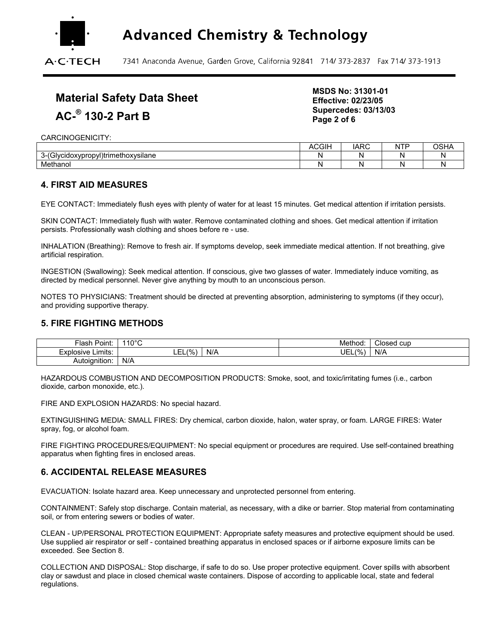

7341 Anaconda Avenue, Garden Grove, California 92841 714/373-2837 Fax 714/373-1913

# **Material Safety Data Sheet**

AC-<sup>®</sup> 130-2 Part B Page 2 of 6 **Page 2 of 6** 

**MSDS No: 31301-01 Effective: 02/23/05 Supercedes: 03/13/03** 

CARCINOGENICITY:

|                                                                                     | $\sim$<br>oı<br>ື | $\overline{AD}$<br>$\cdot$<br>ர⊣ | <b>NTD</b> | $\sim$ $\sim$ |
|-------------------------------------------------------------------------------------|-------------------|----------------------------------|------------|---------------|
| $\cdot$ .<br>0.101<br>$\cdots$<br>I)trimethoxvsilane<br>`วxvpropvl」<br>a Hvera<br>ັ |                   |                                  | N          |               |
| Methanol                                                                            |                   |                                  | N          |               |

#### **4. FIRST AID MEASURES**

EYE CONTACT: Immediately flush eyes with plenty of water for at least 15 minutes. Get medical attention if irritation persists.

SKIN CONTACT: Immediately flush with water. Remove contaminated clothing and shoes. Get medical attention if irritation persists. Professionally wash clothing and shoes before re - use.

INHALATION (Breathing): Remove to fresh air. If symptoms develop, seek immediate medical attention. If not breathing, give artificial respiration.

INGESTION (Swallowing): Seek medical attention. If conscious, give two glasses of water. Immediately induce vomiting, as directed by medical personnel. Never give anything by mouth to an unconscious person.

NOTES TO PHYSICIANS: Treatment should be directed at preventing absorption, administering to symptoms (if they occur), and providing supportive therapy.

### **5. FIRE FIGHTING METHODS**

| Point:<br>·lash I                    | $110^{\circ}$ C<br>ັ                     | Method:   | cup<br>Closed       |
|--------------------------------------|------------------------------------------|-----------|---------------------|
| Limits:<br>ำsive.<br>$. \vee$<br>'NH | -<br>$\frac{10}{6}$<br>117<br>N/A<br>--- | UEL<br>(% | N/L<br>$\mathbf{v}$ |
| .<br>Autoignition:                   | N/A                                      |           |                     |

HAZARDOUS COMBUSTION AND DECOMPOSITION PRODUCTS: Smoke, soot, and toxic/irritating fumes (i.e., carbon dioxide, carbon monoxide, etc.).

FIRE AND EXPLOSION HAZARDS: No special hazard.

EXTINGUISHING MEDIA: SMALL FIRES: Dry chemical, carbon dioxide, halon, water spray, or foam. LARGE FIRES: Water spray, fog, or alcohol foam.

FIRE FIGHTING PROCEDURES/EQUIPMENT: No special equipment or procedures are required. Use self-contained breathing apparatus when fighting fires in enclosed areas.

#### **6. ACCIDENTAL RELEASE MEASURES**

EVACUATION: Isolate hazard area. Keep unnecessary and unprotected personnel from entering.

CONTAINMENT: Safely stop discharge. Contain material, as necessary, with a dike or barrier. Stop material from contaminating soil, or from entering sewers or bodies of water.

CLEAN - UP/PERSONAL PROTECTION EQUIPMENT: Appropriate safety measures and protective equipment should be used. Use supplied air respirator or self - contained breathing apparatus in enclosed spaces or if airborne exposure limits can be exceeded. See Section 8.

COLLECTION AND DISPOSAL: Stop discharge, if safe to do so. Use proper protective equipment. Cover spills with absorbent clay or sawdust and place in closed chemical waste containers. Dispose of according to applicable local, state and federal regulations.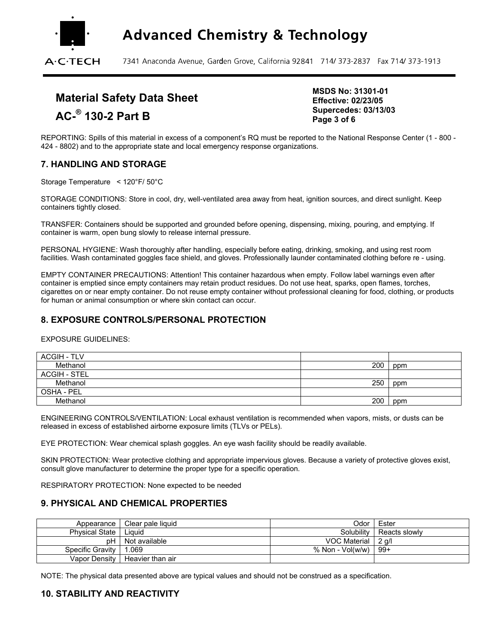

7341 Anaconda Avenue, Garden Grove, California 92841 714/373-2837 Fax 714/373-1913

## **Material Safety Data Sheet**

**AC-**<sup>®</sup> 130-2 Part B Page 3 of 6 **Page 3 of 6** 

**MSDS No: 31301-01 Effective: 02/23/05 Supercedes: 03/13/03** 

REPORTING: Spills of this material in excess of a component's RQ must be reported to the National Response Center (1 - 800 -424 - 8802) and to the appropriate state and local emergency response organizations.

## **7. HANDLING AND STORAGE**

Storage Temperature < 120°F/ 50°C

STORAGE CONDITIONS: Store in cool, dry, well-ventilated area away from heat, ignition sources, and direct sunlight. Keep containers tightly closed.

TRANSFER: Containers should be supported and grounded before opening, dispensing, mixing, pouring, and emptying. If container is warm, open bung slowly to release internal pressure.

PERSONAL HYGIENE: Wash thoroughly after handling, especially before eating, drinking, smoking, and using rest room facilities. Wash contaminated goggles face shield, and gloves. Professionally launder contaminated clothing before re - using.

EMPTY CONTAINER PRECAUTIONS: Attention! This container hazardous when empty. Follow label warnings even after container is emptied since empty containers may retain product residues. Do not use heat, sparks, open flames, torches, cigarettes on or near empty container. Do not reuse empty container without professional cleaning for food, clothing, or products for human or animal consumption or where skin contact can occur.

#### **8. EXPOSURE CONTROLS/PERSONAL PROTECTION**

EXPOSURE GUIDELINES:

| <b>ACGIH - TLV</b>  |     |     |
|---------------------|-----|-----|
| Methanol            | 200 | ppm |
| <b>ACGIH - STEL</b> |     |     |
| Methanol            | 250 | ppm |
| OSHA - PEL          |     |     |
| Methanol            | 200 | ppm |

ENGINEERING CONTROLS/VENTILATION: Local exhaust ventilation is recommended when vapors, mists, or dusts can be released in excess of established airborne exposure limits (TLVs or PELs).

EYE PROTECTION: Wear chemical splash goggles. An eye wash facility should be readily available.

SKIN PROTECTION: Wear protective clothing and appropriate impervious gloves. Because a variety of protective gloves exist, consult glove manufacturer to determine the proper type for a specific operation.

RESPIRATORY PROTECTION: None expected to be needed

#### **9. PHYSICAL AND CHEMICAL PROPERTIES**

| Appearance            | Clear pale liquid | Odor                | Ester           |
|-----------------------|-------------------|---------------------|-----------------|
| <b>Physical State</b> | Liauid            | Solubility          | l Reacts slowlv |
| pH                    | Not available     | <b>VOC Material</b> | $2$ q/l         |
| Specific Gravity      | 9.069             | % Non - Vol(w/w)    | $99+$           |
| Vapor Density         | Heavier than air  |                     |                 |

NOTE: The physical data presented above are typical values and should not be construed as a specification.

## **10. STABILITY AND REACTIVITY**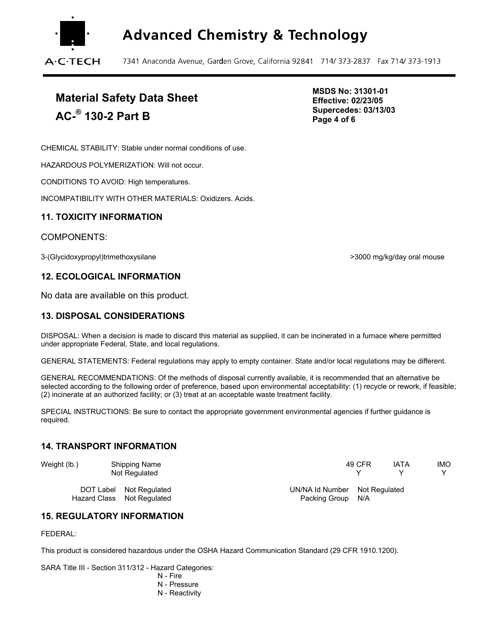

# **Material Safety Data Sheet**  AC-<sup>®</sup> 130-2 Part B Page 4 of 6 **Page 4 of 6**

**MSDS No: 31301-01 Effective: 02/23/05 Supercedes: 03/13/03** 

CHEMICAL STABILITY: Stable under normal conditions of use.

HAZARDOUS POLYMERIZATION: Will not occur.

CONDITIONS TO AVOID: High temperatures.

INCOMPATIBILITY WITH OTHER MATERIALS: Oxidizers. Acids.

#### **11. TOXICITY INFORMATION**

COMPONENTS:

3-(Glycidoxypropyl)trimethoxysilane  $\geq$ 3000 mg/kg/day oral mouse

**12. ECOLOGICAL INFORMATION** 

No data are available on this product.

#### **13. DISPOSAL CONSIDERATIONS**

DISPOSAL: When a decision is made to discard this material as supplied, it can be incinerated in a furnace where permitted under appropriate Federal, State, and local regulations.

GENERAL STATEMENTS: Federal regulations may apply to empty container. State and/or local regulations may be different.

GENERAL RECOMMENDATIONS: Of the methods of disposal currently available, it is recommended that an alternative be selected according to the following order of preference, based upon environmental acceptability: (1) recycle or rework, if feasible; (2) incinerate at an authorized facility; or (3) treat at an acceptable waste treatment facility.

SPECIAL INSTRUCTIONS: Be sure to contact the appropriate government environmental agencies if further guidance is required.

#### **14. TRANSPORT INFORMATION**

Weight (lb.) Shipping Name **19 CFR** IATA IMO Not Regulated The Yang and The Yang and The Yang and Yang and Yang American Wallet American Wallet American Wa DOT Label Not Regulated UN/NA Id Number Not Regulated Hazard Class Not Regulated **Packing Group N/A** 

## **15. REGULATORY INFORMATION**

FEDERAL:

This product is considered hazardous under the OSHA Hazard Communication Standard (29 CFR 1910.1200).

SARA Title III - Section 311/312 - Hazard Categories:

N - Fire N - Pressure N - Reactivity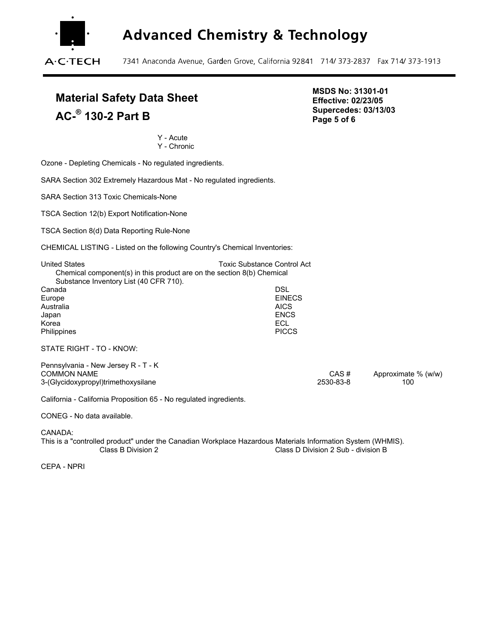

# **Advanced Chemistry & Technology**

7341 Anaconda Avenue, Garden Grove, California 92841 714/373-2837 Fax 714/373-1913

# **Material Safety Data Sheet AC-**<sup>®</sup> 130-2 Part B Page 5 of 6 **Page 5 of 6**

**MSDS No: 31301-01 Effective: 02/23/05 Supercedes: 03/13/03** 

Y - Acute Y - Chronic

Ozone - Depleting Chemicals - No regulated ingredients.

SARA Section 302 Extremely Hazardous Mat - No regulated ingredients.

SARA Section 313 Toxic Chemicals-None

TSCA Section 12(b) Export Notification-None

TSCA Section 8(d) Data Reporting Rule-None

CHEMICAL LISTING - Listed on the following Country's Chemical Inventories:

| <b>United States</b><br>Chemical component(s) in this product are on the section 8(b) Chemical<br>Substance Inventory List (40 CFR 710). | <b>Toxic Substance Control Act</b> |
|------------------------------------------------------------------------------------------------------------------------------------------|------------------------------------|
| Canada                                                                                                                                   | DSL                                |
| Europe                                                                                                                                   | <b>EINECS</b>                      |
| Australia                                                                                                                                | <b>AICS</b>                        |
| Japan                                                                                                                                    | <b>ENCS</b>                        |
| Korea                                                                                                                                    | ECL                                |
| Philippines                                                                                                                              | <b>PICCS</b>                       |

STATE RIGHT - TO - KNOW:

Pennsylvania - New Jersey R - T - K<br>COMMON NAME 3-(Glycidoxypropyl)trimethoxysilane 2530-83-8 100

 $CAS #$  Approximate % (w/w)

California - California Proposition 65 - No regulated ingredients.

CONEG - No data available.

CANADA:

This is a "controlled product" under the Canadian Workplace Hazardous Materials Information System (WHMIS). Class B Division 2 Class D Division 2 Sub - division B

CEPA - NPRI